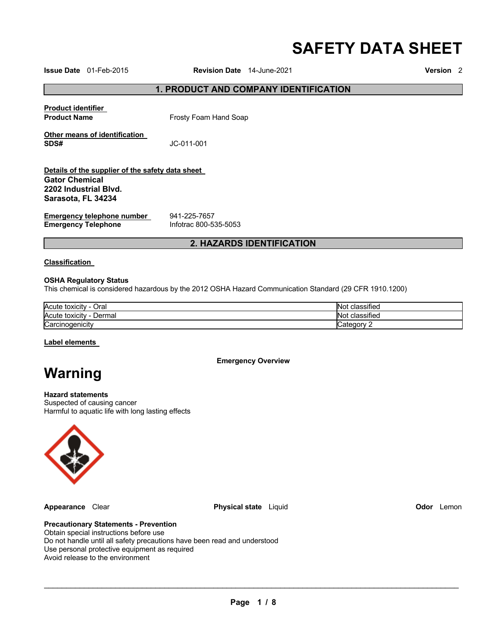# **SAFETY DATA SHEET**

**Issue Date** 01-Feb-2015 **Revision Date** 14-June-2021 **Version** 2

# **1. PRODUCT AND COMPANY IDENTIFICATION**

| <b>Product identifier</b><br><b>Product Name</b>                                                   | Frosty Foam Hand Soap |
|----------------------------------------------------------------------------------------------------|-----------------------|
| Other means of identification<br>SDS#                                                              | JC-011-001            |
| Details of the supplier of the safety data sheet<br><b>Gator Chemical</b><br>2202 Industrial Blvd. |                       |
| Sarasota, FL 34234                                                                                 |                       |

**Emergency telephone number <br>
<b>Emergency Telephone** 
1nfotrac 800-535-5053 **Emergency Telephone** 

# **2. HAZARDS IDENTIFICATION**

#### **Classification**

#### **OSHA Regulatory Status**

This chemical is considered hazardous by the 2012 OSHA Hazard Communication Standard (29 CFR 1910.1200)

| Acute toxicity<br>Oral   | .<br>ıssıfıed<br>- IIN 4 |
|--------------------------|--------------------------|
| Acute toxicity<br>Dermal | lassified<br>- ING       |
| Carcinogenicity          |                          |

#### **Label elements**

**Emergency Overview** 

# **Warning**

# **Hazard statements**

Suspected of causing cancer Harmful to aquatic life with long lasting effects



**Appearance** Clear **Physical state** Liquid **Odor** Lemon

# **Precautionary Statements - Prevention**

Obtain special instructions before use Do not handle until all safety precautions have been read and understood Use personal protective equipment as required Avoid release to the environment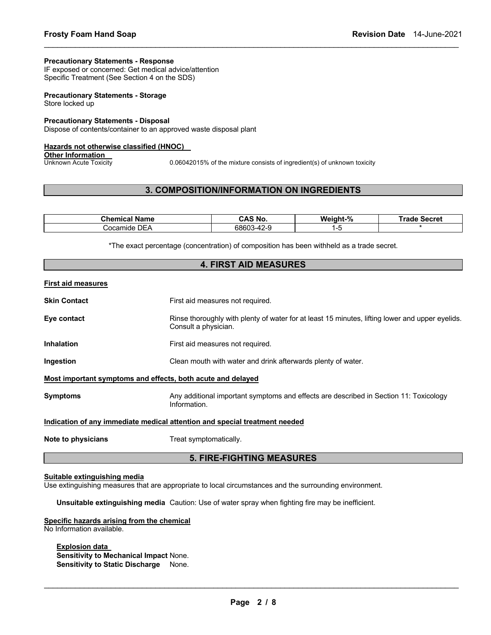#### **Precautionary Statements - Response**

IF exposed or concerned: Get medical advice/attention Specific Treatment (See Section 4 on the SDS)

#### **Precautionary Statements - Storage** Store locked up

#### **Precautionary Statements - Disposal**

Dispose of contents/container to an approved waste disposal plant

#### **Hazards not otherwise classified (HNOC)**

**Other Information**<br>Unknown Acute Toxicity

0.06042015% of the mixture consists of ingredient(s) of unknown toxicity

# **3. COMPOSITION/INFORMATION ON INGREDIENTS**

\_\_\_\_\_\_\_\_\_\_\_\_\_\_\_\_\_\_\_\_\_\_\_\_\_\_\_\_\_\_\_\_\_\_\_\_\_\_\_\_\_\_\_\_\_\_\_\_\_\_\_\_\_\_\_\_\_\_\_\_\_\_\_\_\_\_\_\_\_\_\_\_\_\_\_\_\_\_\_\_\_\_\_\_\_\_\_\_\_\_\_\_\_

| Chemical '<br>Name   | S No.<br>CAS       | Weight-% | <br>Secret<br>rage |
|----------------------|--------------------|----------|--------------------|
| DEA<br>ocamٽ<br>nide | $-42 - c$<br>68603 |          |                    |

\*The exact percentage (concentration) of composition has been withheld as a trade secret. **4. FIRST AID MEASURES** 

| <b>4. FIRST AID MEASURES</b>                                                      |                                                                                                                         |  |  |  |
|-----------------------------------------------------------------------------------|-------------------------------------------------------------------------------------------------------------------------|--|--|--|
| First aid measures                                                                |                                                                                                                         |  |  |  |
| Skin Contact                                                                      | First aid measures not required.                                                                                        |  |  |  |
| Eye contact                                                                       | Rinse thoroughly with plenty of water for at least 15 minutes, lifting lower and upper eyelids.<br>Consult a physician. |  |  |  |
| Inhalation                                                                        | First aid measures not required.                                                                                        |  |  |  |
| Ingestion                                                                         | Clean mouth with water and drink afterwards plenty of water.                                                            |  |  |  |
| Most important symptoms and effects, both acute and delayed                       |                                                                                                                         |  |  |  |
| Svmptoms                                                                          | Any additional important symptoms and effects are described in Section 11: Toxicology<br>Information.                   |  |  |  |
| <u>Indication of any immediate medical attention and special treatment needed</u> |                                                                                                                         |  |  |  |
| Note to physicians                                                                | Treat symptomatically.                                                                                                  |  |  |  |
| <b>5. FIRE-FIGHTING MEASURES</b>                                                  |                                                                                                                         |  |  |  |

#### **Suitable extinguishing media**

Use extinguishing measures that are appropriate to local circumstances and the surrounding environment.

**Unsuitable extinguishing media** Caution: Use of water spray when fighting fire may be inefficient.

#### **Specific hazards arising from the chemical** No Information available.

# **Explosion data**

**Sensitivity to Mechanical Impact** None. **Sensitivity to Static Discharge** None.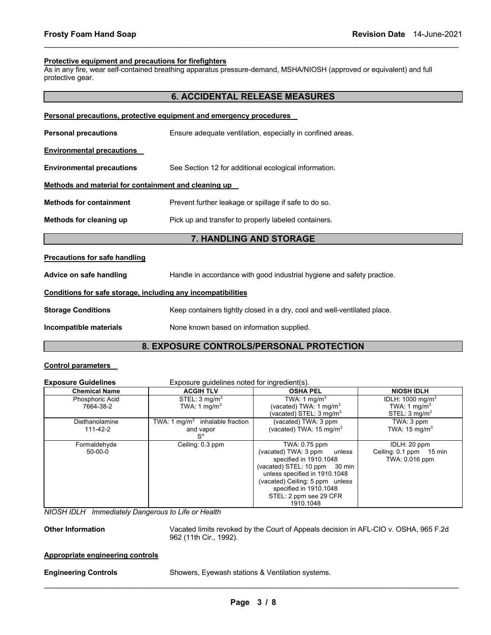#### **Protective equipment and precautions for firefighters**

As in any fire, wear self-contained breathing apparatus pressure-demand, MSHA/NIOSH (approved or equivalent) and full protective gear.

\_\_\_\_\_\_\_\_\_\_\_\_\_\_\_\_\_\_\_\_\_\_\_\_\_\_\_\_\_\_\_\_\_\_\_\_\_\_\_\_\_\_\_\_\_\_\_\_\_\_\_\_\_\_\_\_\_\_\_\_\_\_\_\_\_\_\_\_\_\_\_\_\_\_\_\_\_\_\_\_\_\_\_\_\_\_\_\_\_\_\_\_\_

|                                                                     | <b>6. ACCIDENTAL RELEASE MEASURES</b>                                    |  |  |  |
|---------------------------------------------------------------------|--------------------------------------------------------------------------|--|--|--|
| Personal precautions, protective equipment and emergency procedures |                                                                          |  |  |  |
| <b>Personal precautions</b>                                         | Ensure adequate ventilation, especially in confined areas.               |  |  |  |
| <u>Environmental precautions</u>                                    |                                                                          |  |  |  |
| <b>Environmental precautions</b>                                    | See Section 12 for additional ecological information.                    |  |  |  |
| Methods and material for containment and cleaning up                |                                                                          |  |  |  |
| <b>Methods for containment</b>                                      | Prevent further leakage or spillage if safe to do so.                    |  |  |  |
| Methods for cleaning up                                             | Pick up and transfer to properly labeled containers.                     |  |  |  |
|                                                                     | 7. HANDLING AND STORAGE                                                  |  |  |  |
| <b>Precautions for safe handling</b>                                |                                                                          |  |  |  |
| Advice on safe handling                                             | Handle in accordance with good industrial hygiene and safety practice.   |  |  |  |
| Conditions for safe storage, including any incompatibilities        |                                                                          |  |  |  |
| <b>Storage Conditions</b>                                           | Keep containers tightly closed in a dry, cool and well-ventilated place. |  |  |  |
| Incompatible materials                                              | None known based on information supplied.                                |  |  |  |
|                                                                     |                                                                          |  |  |  |

# **8. EXPOSURE CONTROLS/PERSONAL PROTECTION**

# **Control parameters**

| <b>Exposure Guidelines</b>   | Exposure quidelines noted for ingredient(s).          |                                                                                                                                                                                                                                                 |                                                                                     |  |
|------------------------------|-------------------------------------------------------|-------------------------------------------------------------------------------------------------------------------------------------------------------------------------------------------------------------------------------------------------|-------------------------------------------------------------------------------------|--|
| <b>Chemical Name</b>         | <b>ACGIH TLV</b>                                      | <b>OSHA PEL</b>                                                                                                                                                                                                                                 | <b>NIOSH IDLH</b>                                                                   |  |
| Phosphoric Acid<br>7664-38-2 | STEL: 3 mg/m <sup>3</sup><br>TWA: 1 mg/m <sup>3</sup> | TWA: 1 $mq/m3$<br>(vacated) TWA: 1 mg/m $3$<br>(vacated) STEL: 3 mg/m $^3$                                                                                                                                                                      | IDLH: $1000 \text{ mg/m}^3$<br>TWA: 1 mg/m <sup>3</sup><br>STEL: $3 \text{ mg/m}^3$ |  |
| Diethanolamine<br>111-42-2   | TWA: 1 $mq/m3$ inhalable fraction<br>and vapor<br>S*  | (vacated) TWA: 3 ppm<br>(vacated) TWA: $15 \text{ mg/m}^3$                                                                                                                                                                                      | TWA: 3 ppm<br>TWA: $15 \text{ mg/m}^3$                                              |  |
| Formaldehyde<br>$50-00-0$    | Ceiling: 0.3 ppm                                      | TWA: 0.75 ppm<br>(vacated) TWA: 3 ppm<br>unless<br>specified in 1910.1048<br>(vacated) STEL: 10 ppm 30 min<br>unless specified in 1910.1048<br>(vacated) Ceiling: 5 ppm unless<br>specified in 1910.1048<br>STEL: 2 ppm see 29 CFR<br>1910.1048 | IDLH: 20 ppm<br>Ceiling: 0.1 ppm 15 min<br>TWA: 0.016 ppm                           |  |

*NIOSH IDLH Immediately Dangerous to Life or Health* 

**Other Information** Vacated limits revoked by the Court of Appeals decision in AFL-CIO v. OSHA, 965 F.2d 962 (11th Cir., 1992).

### **Appropriate engineering controls**

\_\_\_\_\_\_\_\_\_\_\_\_\_\_\_\_\_\_\_\_\_\_\_\_\_\_\_\_\_\_\_\_\_\_\_\_\_\_\_\_\_\_\_\_\_\_\_\_\_\_\_\_\_\_\_\_\_\_\_\_\_\_\_\_\_\_\_\_\_\_\_\_\_\_\_\_\_\_\_\_\_\_\_\_\_\_\_\_\_\_\_\_\_ **Engineering Controls** Showers, Eyewash stations & Ventilation systems.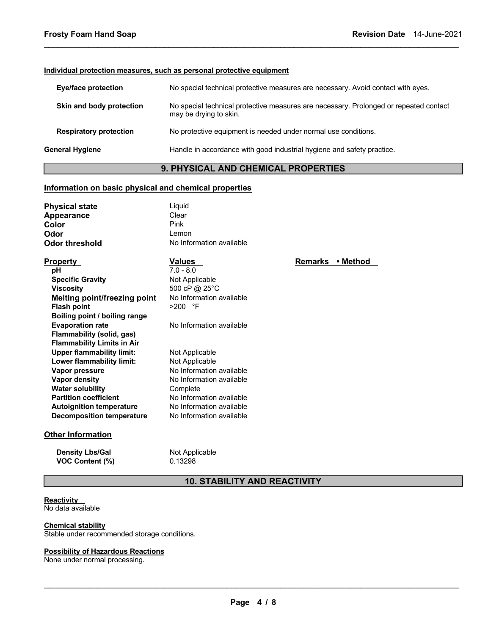#### **Individual protection measures, such as personal protective equipment**

| <b>Eye/face protection</b>    | No special technical protective measures are necessary. Avoid contact with eyes.                                |
|-------------------------------|-----------------------------------------------------------------------------------------------------------------|
| Skin and body protection      | No special technical protective measures are necessary. Prolonged or repeated contact<br>may be drying to skin. |
| <b>Respiratory protection</b> | No protective equipment is needed under normal use conditions.                                                  |
| General Hygiene               | Handle in accordance with good industrial hygiene and safety practice.                                          |
|                               |                                                                                                                 |

\_\_\_\_\_\_\_\_\_\_\_\_\_\_\_\_\_\_\_\_\_\_\_\_\_\_\_\_\_\_\_\_\_\_\_\_\_\_\_\_\_\_\_\_\_\_\_\_\_\_\_\_\_\_\_\_\_\_\_\_\_\_\_\_\_\_\_\_\_\_\_\_\_\_\_\_\_\_\_\_\_\_\_\_\_\_\_\_\_\_\_\_\_

# **9. PHYSICAL AND CHEMICAL PROPERTIES**

### **Information on basic physical and chemical properties**

| Liguid                   |
|--------------------------|
| Clear                    |
| Pink                     |
| Lemon                    |
| No Information available |
|                          |

| Property                            | <b>Values</b>            |
|-------------------------------------|--------------------------|
| рH                                  | $7.0 - 8.0$              |
| <b>Specific Gravity</b>             | Not Applicable           |
| Viscosity                           | 500 cP @ 25°C            |
| <b>Melting point/freezing point</b> | No Information available |
| <b>Flash point</b>                  | >200 °F                  |
| Boiling point / boiling range       |                          |
| <b>Evaporation rate</b>             | No Information available |
| Flammability (solid, gas)           |                          |
| <b>Flammability Limits in Air</b>   |                          |
| <b>Upper flammability limit:</b>    | Not Applicable           |
| Lower flammability limit:           | Not Applicable           |
| Vapor pressure                      | No Information available |
| Vapor density                       | No Information available |
| <b>Water solubility</b>             | Complete                 |
| <b>Partition coefficient</b>        | No Information available |
| <b>Autoignition temperature</b>     | No Information available |
| <b>Decomposition temperature</b>    | No Information available |

#### **Other Information**

**Density Lbs/Gal** Not Applicable **VOC Content (%)** 0.13298

# **10. STABILITY AND REACTIVITY**

# **Reactivity**

No data available

**Chemical stability** Stable under recommended storage conditions.

# **Possibility of Hazardous Reactions**

None under normal processing.

**Remarks • Method**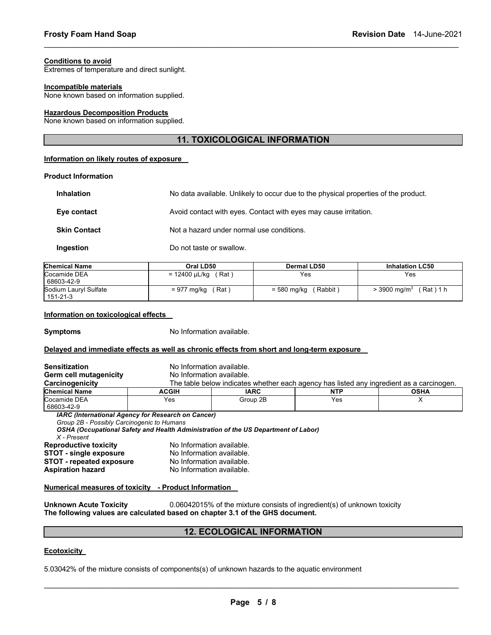#### **Conditions to avoid**

Extremes of temperature and direct sunlight.

#### **Incompatible materials**

None known based on information supplied.

#### **Hazardous Decomposition Products**

None known based on information supplied.

# **11. TOXICOLOGICAL INFORMATION**

\_\_\_\_\_\_\_\_\_\_\_\_\_\_\_\_\_\_\_\_\_\_\_\_\_\_\_\_\_\_\_\_\_\_\_\_\_\_\_\_\_\_\_\_\_\_\_\_\_\_\_\_\_\_\_\_\_\_\_\_\_\_\_\_\_\_\_\_\_\_\_\_\_\_\_\_\_\_\_\_\_\_\_\_\_\_\_\_\_\_\_\_\_

### **Information on likely routes of exposure**

#### **Product Information**

| <b>Inhalation</b>   | No data available. Unlikely to occur due to the physical properties of the product. |
|---------------------|-------------------------------------------------------------------------------------|
| Eye contact         | Avoid contact with eyes. Contact with eyes may cause irritation.                    |
| <b>Skin Contact</b> | Not a hazard under normal use conditions.                                           |
| Ingestion           | Do not taste or swallow.                                                            |

| <b>Chemical Name</b>              | Oral LD50              | Dermal LD50           | <b>Inhalation LC50</b>                |
|-----------------------------------|------------------------|-----------------------|---------------------------------------|
| Cocamide DEA<br>68603-42-9        | (Rat)<br>= 12400 µL/kg | Yes                   | Yes                                   |
| Sodium Lauryl Sulfate<br>151-21-3 | ˈRat ˈ<br>= 977 mg/kg  | Rabbit<br>= 580 mg/kg | (Rat)1h<br>$>$ 3900 mg/m <sup>3</sup> |

#### **Information on toxicological effects**

**Symptoms** No Information available.

#### **Delayed and immediate effects as well as chronic effects from short and long-term exposure**

| <b>Sensitization</b>                                                                                    | No Information available.                                                                |          |     |  |  |  |
|---------------------------------------------------------------------------------------------------------|------------------------------------------------------------------------------------------|----------|-----|--|--|--|
| Germ cell mutagenicity                                                                                  | No Information available.                                                                |          |     |  |  |  |
| Carcinogenicity                                                                                         | The table below indicates whether each agency has listed any ingredient as a carcinogen. |          |     |  |  |  |
| <b>Chemical Name</b>                                                                                    | <b>NTP</b><br><b>ACGIH</b><br><b>IARC</b>                                                |          |     |  |  |  |
| Cocamide DEA<br>68603-42-9                                                                              | Yes                                                                                      | Group 2B | Yes |  |  |  |
| <b>IARC (International Agency for Research on Cancer)</b><br>Group 2B - Possibly Carcinogenic to Humans |                                                                                          |          |     |  |  |  |
| OSHA (Occupational Safety and Health Administration of the US Department of Labor)<br>X - Present       |                                                                                          |          |     |  |  |  |
| <b>Reproductive toxicity</b>                                                                            | No Information available.                                                                |          |     |  |  |  |
| <b>STOT - single exposure</b>                                                                           | No Information available.                                                                |          |     |  |  |  |
|                                                                                                         | No Information available.                                                                |          |     |  |  |  |
| <b>STOT - repeated exposure</b>                                                                         |                                                                                          |          |     |  |  |  |

#### **Numerical measures of toxicity - Product Information**

**Unknown Acute Toxicity** 0.06042015% of the mixture consists of ingredient(s) of unknown toxicity **The following values are calculated based on chapter 3.1 of the GHS document.**

# **12. ECOLOGICAL INFORMATION**

#### **Ecotoxicity**

5.03042% of the mixture consists of components(s) of unknown hazards to the aquatic environment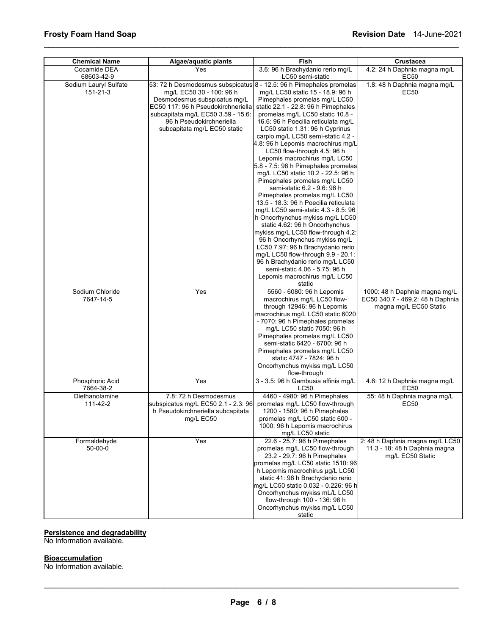| <b>Chemical Name</b>              | Fish<br>Algae/aquatic plants                                                                                                                                                                                                                                            |                                                                                                                                                                                                                                                                                                                                                                                                                                                                                                                                                                                                                                                                                                                                                                                                                                                                                                                                                                         | Crustacea                                                                                   |  |
|-----------------------------------|-------------------------------------------------------------------------------------------------------------------------------------------------------------------------------------------------------------------------------------------------------------------------|-------------------------------------------------------------------------------------------------------------------------------------------------------------------------------------------------------------------------------------------------------------------------------------------------------------------------------------------------------------------------------------------------------------------------------------------------------------------------------------------------------------------------------------------------------------------------------------------------------------------------------------------------------------------------------------------------------------------------------------------------------------------------------------------------------------------------------------------------------------------------------------------------------------------------------------------------------------------------|---------------------------------------------------------------------------------------------|--|
| Cocamide DEA<br>68603-42-9        | Yes                                                                                                                                                                                                                                                                     | 3.6: 96 h Brachydanio rerio mg/L<br>LC50 semi-static                                                                                                                                                                                                                                                                                                                                                                                                                                                                                                                                                                                                                                                                                                                                                                                                                                                                                                                    | 4.2: 24 h Daphnia magna mg/L<br>EC50                                                        |  |
| Sodium Lauryl Sulfate<br>151-21-3 | 53: 72 h Desmodesmus subspicatus 8 - 12.5: 96 h Pimephales promelas<br>mg/L EC50 30 - 100: 96 h<br>Desmodesmus subspicatus mg/L<br>EC50 117: 96 h Pseudokirchneriella<br>subcapitata mg/L EC50 3.59 - 15.6:<br>96 h Pseudokirchneriella<br>subcapitata mg/L EC50 static | mg/L LC50 static 15 - 18.9: 96 h<br>Pimephales promelas mg/L LC50<br>static 22.1 - 22.8: 96 h Pimephales<br>promelas mg/L LC50 static 10.8 -<br>16.6: 96 h Poecilia reticulata mg/L<br>LC50 static 1.31: 96 h Cyprinus<br>carpio mg/L LC50 semi-static 4.2 -<br>4.8: 96 h Lepomis macrochirus mg/L<br>LC50 flow-through 4.5: 96 h<br>Lepomis macrochirus mg/L LC50<br>5.8 - 7.5: 96 h Pimephales promelas<br>mg/L LC50 static 10.2 - 22.5: 96 h<br>Pimephales promelas mg/L LC50<br>semi-static 6.2 - 9.6: 96 h<br>Pimephales promelas mg/L LC50<br>13.5 - 18.3: 96 h Poecilia reticulata<br>mg/L LC50 semi-static 4.3 - 8.5: 96<br>h Oncorhynchus mykiss mg/L LC50<br>static 4.62: 96 h Oncorhynchus<br>mykiss mg/L LC50 flow-through 4.2:<br>96 h Oncorhynchus mykiss mg/L<br>LC50 7.97: 96 h Brachydanio rerio<br>mg/L LC50 flow-through 9.9 - 20.1:<br>96 h Brachydanio rerio mg/L LC50<br>semi-static 4.06 - 5.75: 96 h<br>Lepomis macrochirus mg/L LC50<br>static | 1.8: 48 h Daphnia magna mg/L<br>EC50                                                        |  |
| Sodium Chloride<br>7647-14-5      | Yes                                                                                                                                                                                                                                                                     | 5560 - 6080: 96 h Lepomis<br>macrochirus mg/L LC50 flow-<br>through 12946: 96 h Lepomis<br>macrochirus mg/L LC50 static 6020<br>- 7070: 96 h Pimephales promelas<br>mg/L LC50 static 7050: 96 h<br>Pimephales promelas mg/L LC50<br>semi-static 6420 - 6700: 96 h<br>Pimephales promelas mg/L LC50<br>static 4747 - 7824: 96 h<br>Oncorhynchus mykiss mg/L LC50<br>flow-through                                                                                                                                                                                                                                                                                                                                                                                                                                                                                                                                                                                         | 1000: 48 h Daphnia magna mg/L<br>EC50 340.7 - 469.2: 48 h Daphnia<br>magna mg/L EC50 Static |  |
| Phosphoric Acid<br>7664-38-2      | Yes                                                                                                                                                                                                                                                                     | 3 - 3.5: 96 h Gambusia affinis mg/L<br>LC50                                                                                                                                                                                                                                                                                                                                                                                                                                                                                                                                                                                                                                                                                                                                                                                                                                                                                                                             | 4.6: 12 h Daphnia magna mg/L<br>EC50                                                        |  |
| Diethanolamine<br>111-42-2        | 7.8: 72 h Desmodesmus<br>subspicatus mg/L EC50 2.1 - 2.3: 96<br>h Pseudokirchneriella subcapitata<br>mg/L EC50                                                                                                                                                          | 4460 - 4980: 96 h Pimephales<br>promelas mg/L LC50 flow-through<br>1200 - 1580: 96 h Pimephales<br>promelas mg/L LC50 static 600 -<br>1000: 96 h Lepomis macrochirus<br>mg/L LC50 static                                                                                                                                                                                                                                                                                                                                                                                                                                                                                                                                                                                                                                                                                                                                                                                | 55: 48 h Daphnia magna mg/L<br>EC50                                                         |  |
| Formaldehyde<br>$50 - 00 - 0$     | $\bar{Y}$ es                                                                                                                                                                                                                                                            | 22.6 - 25.7: 96 h Pimephales<br>promelas mg/L LC50 flow-through<br>23.2 - 29.7: 96 h Pimephales<br>promelas mg/L LC50 static 1510: 96<br>h Lepomis macrochirus µg/L LC50<br>static 41: 96 h Brachydanio rerio<br>mg/L LC50 static 0.032 - 0.226: 96 h<br>Oncorhynchus mykiss mL/L LC50<br>flow-through 100 - 136: 96 h<br>Oncorhynchus mykiss mg/L LC50<br>static                                                                                                                                                                                                                                                                                                                                                                                                                                                                                                                                                                                                       | 2: 48 h Daphnia magna mg/L LC50<br>11.3 - 18: 48 h Daphnia magna<br>mg/L EC50 Static        |  |

\_\_\_\_\_\_\_\_\_\_\_\_\_\_\_\_\_\_\_\_\_\_\_\_\_\_\_\_\_\_\_\_\_\_\_\_\_\_\_\_\_\_\_\_\_\_\_\_\_\_\_\_\_\_\_\_\_\_\_\_\_\_\_\_\_\_\_\_\_\_\_\_\_\_\_\_\_\_\_\_\_\_\_\_\_\_\_\_\_\_\_\_\_

# **Persistence and degradability**

No Information available.

# **Bioaccumulation**

No Information available.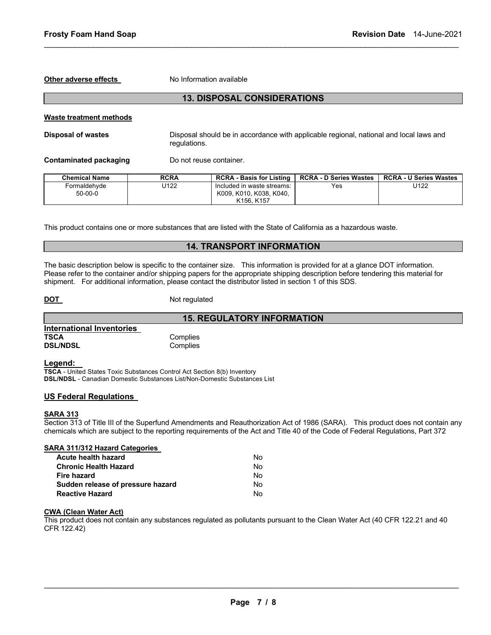**Other adverse effects** No Information available

# **13. DISPOSAL CONSIDERATIONS**

\_\_\_\_\_\_\_\_\_\_\_\_\_\_\_\_\_\_\_\_\_\_\_\_\_\_\_\_\_\_\_\_\_\_\_\_\_\_\_\_\_\_\_\_\_\_\_\_\_\_\_\_\_\_\_\_\_\_\_\_\_\_\_\_\_\_\_\_\_\_\_\_\_\_\_\_\_\_\_\_\_\_\_\_\_\_\_\_\_\_\_\_\_

#### **Waste treatment methods**

**Disposal of wastes** Disposal should be in accordance with applicable regional, national and local laws and regulations.

**Contaminated packaging Theory Do not reuse container.** 

| Chemical Name | <b>RCRA</b> | <b>RCRA - Basis for Listing</b>   | <b>RCRA - D Series Wastes</b> | <b>RCRA - U Series Wastes</b> |
|---------------|-------------|-----------------------------------|-------------------------------|-------------------------------|
| Formaldehvde  | J122        | Included in waste streams:        | Yes                           | U122                          |
| $50-00-0$     |             | K009, K010, K038, K040,           |                               |                               |
|               |             | K <sub>156</sub> K <sub>157</sub> |                               |                               |

This product contains one or more substances that are listed with the State of California as a hazardous waste.

# **14. TRANSPORT INFORMATION**

**15. REGULATORY INFORMATION** 

The basic description below is specific to the container size. This information is provided for at a glance DOT information. Please refer to the container and/or shipping papers for the appropriate shipping description before tendering this material for shipment. For additional information, please contact the distributor listed in section 1 of this SDS.

**DOT** Not regulated

|                           | 15. F    |
|---------------------------|----------|
| International Inventories |          |
| <b>TSCA</b>               | Complies |
| <b>DSL/NDSL</b>           | Complies |

**Legend:** 

**TSCA** - United States Toxic Substances Control Act Section 8(b) Inventory **DSL/NDSL** - Canadian Domestic Substances List/Non-Domestic Substances List

#### **US Federal Regulations**

#### **SARA 313**

Section 313 of Title III of the Superfund Amendments and Reauthorization Act of 1986 (SARA). This product does not contain any chemicals which are subject to the reporting requirements of the Act and Title 40 of the Code of Federal Regulations, Part 372

| SARA 311/312 Hazard Categories    |    |
|-----------------------------------|----|
| Acute health hazard               | N٥ |
| <b>Chronic Health Hazard</b>      | Nο |
| <b>Fire hazard</b>                | Nο |
| Sudden release of pressure hazard | Nο |
| <b>Reactive Hazard</b>            | N٥ |

# **CWA (Clean Water Act)**

This product does not contain any substances regulated as pollutants pursuant to the Clean Water Act (40 CFR 122.21 and 40 CFR 122.42)